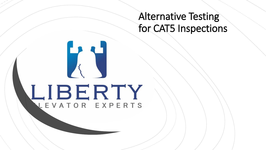# Alternative Testing for CAT5 Inspections

# LIBERTY LEVATOR EXPERTS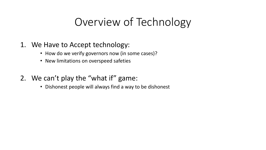# Overview of Technology

### 1. We Have to Accept technology:

- How do we verify governors now (in some cases)?
- New limitations on overspeed safeties
- 2. We can't play the "what if" game:
	- Dishonest people will always find a way to be dishonest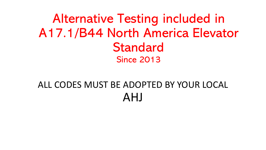Alternative Testing included in A17.1/B44 North America Elevator Standard Since 2013

# ALL CODES MUST BE ADOPTED BY YOUR LOCAL AHJ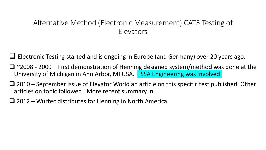### Alternative Method (Electronic Measurement) CAT5 Testing of Elevators

Electronic Testing started and is ongoing in Europe (and Germany) over 20 years ago.

- $\Box$  ~2008 2009 First demonstration of Henning designed system/method was done at the University of Michigan in Ann Arbor, MI USA. TSSA Engineering was involved.
- $\Box$  2010 September issue of Elevator World an article on this specific test published. Other articles on topic followed. More recent summary in
- $\Box$  2012 Wurtec distributes for Henning in North America.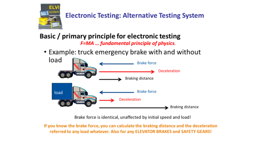

### **Electronic Testing: Alternative Testing System**

# Basic / primary principle for electronic testing

*F=MA … fundamental principle of physics.*

• Example: truck emergency brake with and without



Brake force is identical, unaffected by initial speed and load!

If you know the brake force, you can calculate the braking distance and the deceleration referred to any load whatever. Also for any ELEVATOR BRAKES and SAFETY GEARS!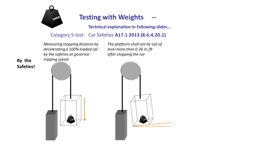

#### **Testing with Weights** a.

**Technical explanation in following slides...** 

#### Category 5 test: Car Safeties A17.1 2013 (8.6.4.20.1)

Measuring stopping distance by The platform shall not be out of  $\theta$  decelerating a 100% loaded car level more than 0.36 in./ft by the safeties at governor tripping speed

after stopping the car

**By the Safeties!**



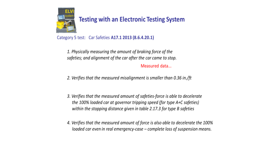

Category 5 test: Car Safeties A17.1 2013 (8.6.4.20.1)

1. Physically measuring the amount of braking force of the safeties; and alignment of the car after the car came to stop.

Measured data...

2. Verifies that the measured misalignment is smaller than 0.36 in./ft

- 3. Verifies that the measured amount of safeties-force is able to decelerate the 100% loaded car at governor tripping speed (for type A+C safeties) within the stopping distance given in table 2.17.3 for type B safeties
- 4. Verifies that the measured amount of force is also able to decelerate the 100% loaded car even in real emergency-case – complete loss of suspension means.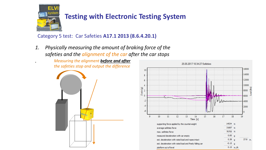

Category 5 test: Car Safeties **A17.1 2013 (8.6.4.20.1)**

*1. Physically measuring the amount of braking force of the safeties and the alignment of the car after the car stops*

> *. Measuring the alignment before and after the safeties stop and output the difference*



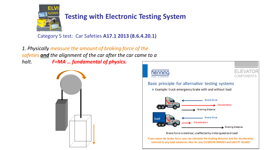

Category 5 test: Car Safeties **A17.1 2013 (8.6.4.20.1)**

*1. Physically measure the amount of braking force of the safeties and the alignment of the car after the car came to a halt. F=MA … fundamental of physics.*



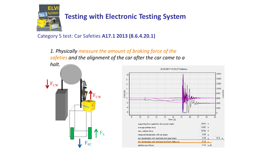

Category 5 test: Car Safeties **A17.1 2013 (8.6.4.20.1)**

*1. Physically measure the amount of braking force of the safeties and the alignment of the car after the car came to a* 



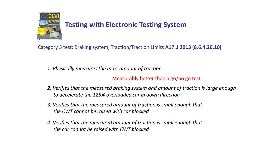

Category 5 test: Braking system, Traction/Traction Limits **A17.1 2013 (8.6.4.20.10)**

*1. Physically measures the max. amount of traction*

Measurably better than a go/no go test.

- *2. Verifies that the measured braking system and amount of traction is large enough to decelerate the 125% overloaded car in down direction*
- *3. Verifies that the measured amount of traction is small enough that the CWT cannot be raised with car blocked*
- *4. Verifies that the measured amount of traction is small enough that the car cannot be raised with CWT blocked*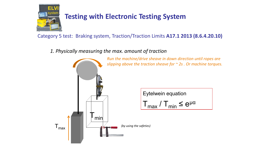

Category 5 test: Braking system, Traction/Traction Limits **A17.1 2013 (8.6.4.20.10)**

*1. Physically measuring the max. amount of traction*

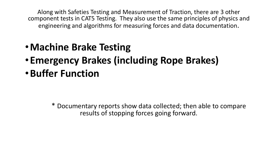Along with Safeties Testing and Measurement of Traction, there are 3 other component tests in CAT5 Testing. They also use the same principles of physics and engineering and algorithms for measuring forces and data documentation.

- •**Machine Brake Testing**
- •**Emergency Brakes (including Rope Brakes)**
- •**Buffer Function**

\* Documentary reports show data collected; then able to compare results of stopping forces going forward.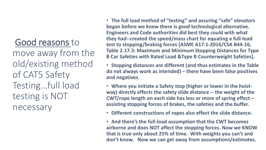# Good reasons to

move away from the old/existing method of CAT5 Safety Testing…full load testing is NOT necessary

• **The full load method of "testing" and assuring "safe" elevators began before we knew there is good technological alternative. Engineers and Code authorities did best they could with what they had--created the speed/mass chart for equating a full-load test to stopping/braking forces [ASME A17.1-2016/CSA B44-16, Table 2.17.3: Maximum and Minimum Stopping Distances for Type B Car Safeties with Rated Load &Type B Counterweight Safeties].** 

• **Stopping distances are different (and thus estimates in the Table do not always work as intended) – there have been false positives and negatives.** 

• **Where you initiate a Safety stop (higher or lower in the hoistway) directly effects the safety slide distance -- the weight of the CWT/rope length on each side has less or more of spring effect – assisting stopping forces of brakes, the safeties and the buffer.**

• **Different constructions of ropes also effect the slide distance.**

• **And there's the full-load assumption that the CWT becomes airborne and does NOT affect the stopping forces. Now we KNOW that is true only about 25% of time. With weights you can't and don't know. Now we can get away from assumptions/estimates.**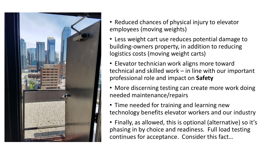

- Reduced chances of physical injury to elevator employees (moving weights)
- Less weight cart use reduces potential damage to building-owners property, in addition to reducing logistics costs (moving weight carts)
- Elevator technician work aligns more toward technical and skilled work – in line with our important professional role and impact on **Safety**
- More discerning testing can create more work doing needed maintenance/repairs
- Time needed for training and learning new technology benefits elevator workers and our industry
- Finally, as allowed, this is optional (alternative) so it's phasing in by choice and readiness. Full load testing continues for acceptance. Consider this fact…